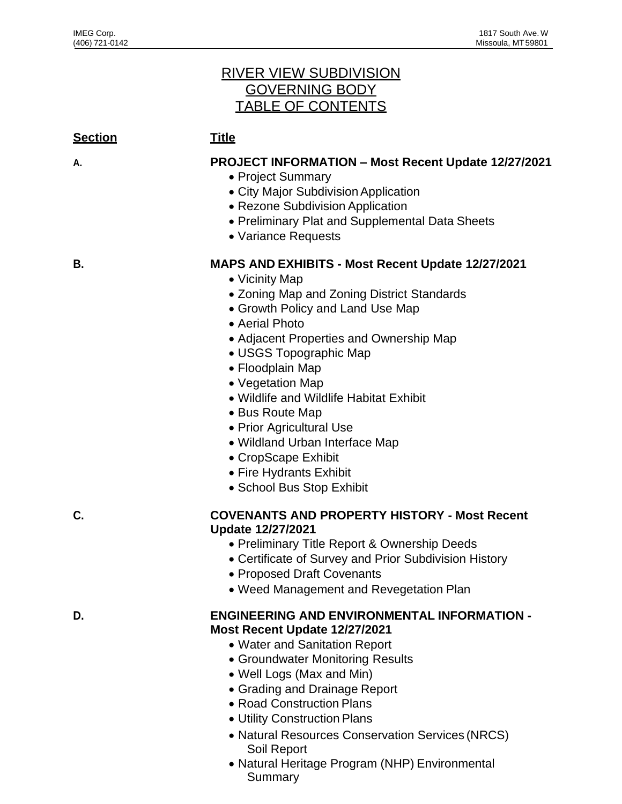## RIVER VIEW SUBDIVISION GOVERNING BODY TABLE OF CONTENTS

| <u>Section</u> | <b>Title</b>                                                                                                                                                                                                                                                                                                                                                                                                                                                                                    |
|----------------|-------------------------------------------------------------------------------------------------------------------------------------------------------------------------------------------------------------------------------------------------------------------------------------------------------------------------------------------------------------------------------------------------------------------------------------------------------------------------------------------------|
| А.             | <b>PROJECT INFORMATION - Most Recent Update 12/27/2021</b><br>• Project Summary<br>• City Major Subdivision Application<br>• Rezone Subdivision Application<br>• Preliminary Plat and Supplemental Data Sheets<br>• Variance Requests                                                                                                                                                                                                                                                           |
| В.             | MAPS AND EXHIBITS - Most Recent Update 12/27/2021<br>• Vicinity Map<br>• Zoning Map and Zoning District Standards<br>• Growth Policy and Land Use Map<br>• Aerial Photo<br>• Adjacent Properties and Ownership Map<br>• USGS Topographic Map<br>• Floodplain Map<br>• Vegetation Map<br>• Wildlife and Wildlife Habitat Exhibit<br>• Bus Route Map<br>• Prior Agricultural Use<br>• Wildland Urban Interface Map<br>• CropScape Exhibit<br>• Fire Hydrants Exhibit<br>• School Bus Stop Exhibit |
| C.             | <b>COVENANTS AND PROPERTY HISTORY - Most Recent</b><br><b>Update 12/27/2021</b><br>• Preliminary Title Report & Ownership Deeds<br>• Certificate of Survey and Prior Subdivision History<br><b>Proposed Draft Covenants</b><br>• Weed Management and Revegetation Plan                                                                                                                                                                                                                          |
| D.             | <b>ENGINEERING AND ENVIRONMENTAL INFORMATION -</b><br>Most Recent Update 12/27/2021<br>• Water and Sanitation Report<br>• Groundwater Monitoring Results<br>• Well Logs (Max and Min)<br>• Grading and Drainage Report<br>• Road Construction Plans<br>• Utility Construction Plans<br>• Natural Resources Conservation Services (NRCS)<br>Soil Report                                                                                                                                          |

• Natural Heritage Program (NHP) Environmental **Summary**